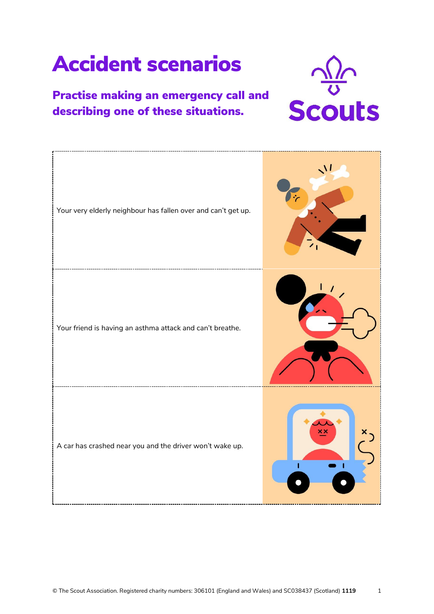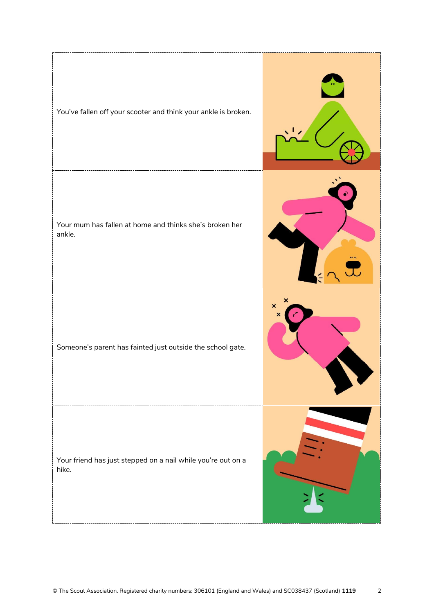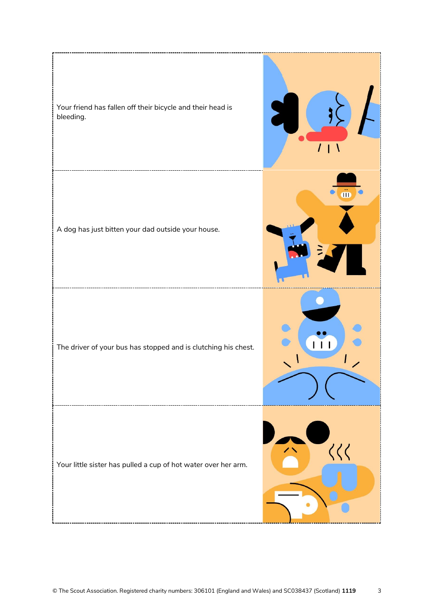